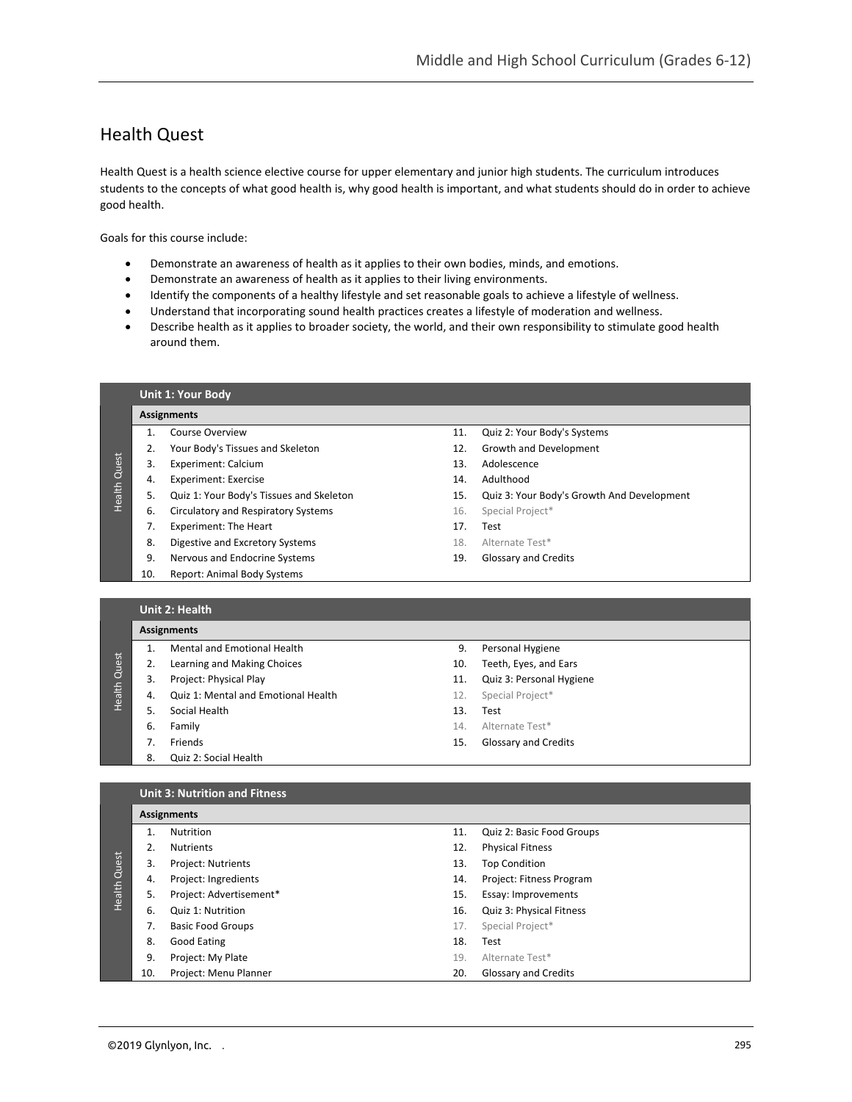## Health Quest

Health Quest is a health science elective course for upper elementary and junior high students. The curriculum introduces students to the concepts of what good health is, why good health is important, and what students should do in order to achieve good health.

Goals for this course include:

- Demonstrate an awareness of health as it applies to their own bodies, minds, and emotions.
- Demonstrate an awareness of health as it applies to their living environments.
- Identify the components of a healthy lifestyle and set reasonable goals to achieve a lifestyle of wellness.
- Understand that incorporating sound health practices creates a lifestyle of moderation and wellness.
- Describe health as it applies to broader society, the world, and their own responsibility to stimulate good health around them.

| <b>Assignments</b> |                                            |     |                                            |  |
|--------------------|--------------------------------------------|-----|--------------------------------------------|--|
|                    | Course Overview                            | 11. | Quiz 2: Your Body's Systems                |  |
| 2.                 | Your Body's Tissues and Skeleton           | 12. | Growth and Development                     |  |
| 3.                 | Experiment: Calcium                        | 13. | Adolescence                                |  |
| 4.                 | <b>Experiment: Exercise</b>                | 14. | Adulthood                                  |  |
| 5.                 | Quiz 1: Your Body's Tissues and Skeleton   | 15. | Quiz 3: Your Body's Growth And Development |  |
| 6.                 | <b>Circulatory and Respiratory Systems</b> | 16. | Special Project*                           |  |
| 7.                 | Experiment: The Heart                      | 17. | Test                                       |  |
| 8.                 | Digestive and Excretory Systems            | 18. | Alternate Test*                            |  |
| 9.                 | Nervous and Endocrine Systems              | 19. | <b>Glossary and Credits</b>                |  |
| 10.                | <b>Report: Animal Body Systems</b>         |     |                                            |  |

## **Unit 2: Health**

|        | <b>Assignments</b> |                                     |     |                             |  |
|--------|--------------------|-------------------------------------|-----|-----------------------------|--|
|        |                    | Mental and Emotional Health         | 9.  | Personal Hygiene            |  |
| Quest  |                    | Learning and Making Choices         | 10. | Teeth, Eyes, and Ears       |  |
|        | 3.                 | Project: Physical Play              | 11. | Quiz 3: Personal Hygiene    |  |
| Health | 4.                 | Quiz 1: Mental and Emotional Health | 12. | Special Project*            |  |
|        |                    | Social Health                       | 13. | Test                        |  |
|        | 6.                 | Family                              | 14. | Alternate Test*             |  |
|        |                    | Friends                             | 15. | <b>Glossary and Credits</b> |  |
|        | 8.                 | Quiz 2: Social Health               |     |                             |  |

## **Unit 3: Nutrition and Fitness**

|              | <b>Assignments</b> |                           |     |                           |  |
|--------------|--------------------|---------------------------|-----|---------------------------|--|
| Health Quest |                    | <b>Nutrition</b>          | 11. | Quiz 2: Basic Food Groups |  |
|              |                    | <b>Nutrients</b>          | 12. | <b>Physical Fitness</b>   |  |
|              | 3.                 | <b>Project: Nutrients</b> | 13. | <b>Top Condition</b>      |  |
|              | 4.                 | Project: Ingredients      | 14. | Project: Fitness Program  |  |
|              | 5.                 | Project: Advertisement*   | 15. | Essay: Improvements       |  |
|              | 6.                 | Quiz 1: Nutrition         | 16. | Quiz 3: Physical Fitness  |  |
|              | 7.                 | <b>Basic Food Groups</b>  | 17. | Special Project*          |  |
|              | 8.                 | Good Eating               | 18. | Test                      |  |
|              | 9.                 | Project: My Plate         | 19. | Alternate Test*           |  |
|              | 10.                | Project: Menu Planner     | 20. | Glossary and Credits      |  |